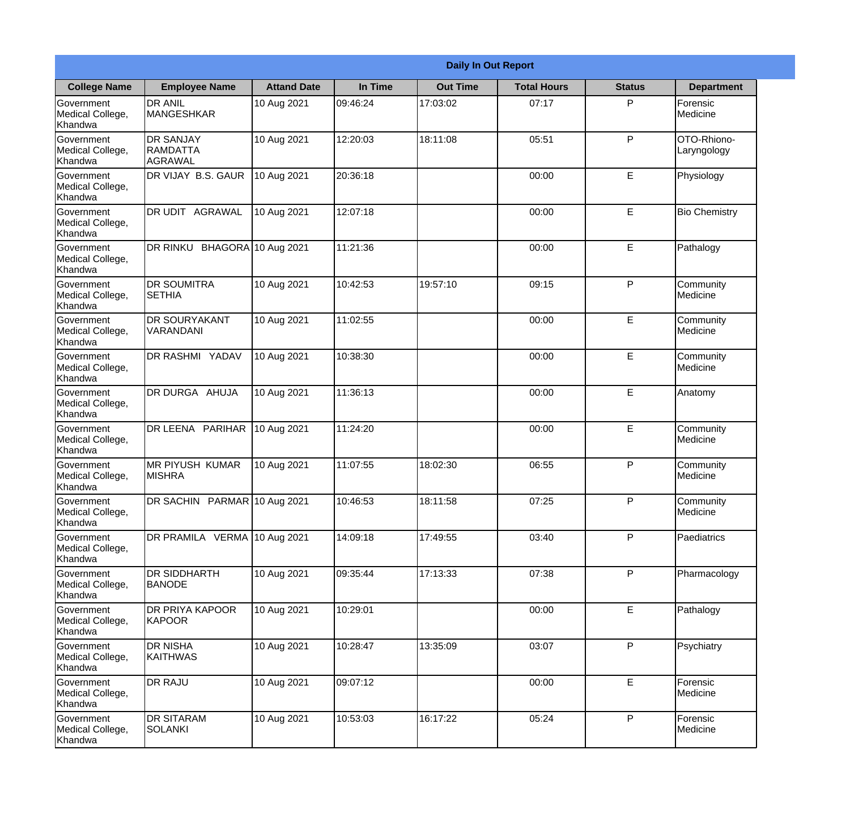|                                                  | <b>Daily In Out Report</b>                     |                    |          |                 |                    |               |                              |  |
|--------------------------------------------------|------------------------------------------------|--------------------|----------|-----------------|--------------------|---------------|------------------------------|--|
| <b>College Name</b>                              | <b>Employee Name</b>                           | <b>Attand Date</b> | In Time  | <b>Out Time</b> | <b>Total Hours</b> | <b>Status</b> | <b>Department</b>            |  |
| Government<br>Medical College,<br>Khandwa        | <b>DR ANIL</b><br>MANGESHKAR                   | 10 Aug 2021        | 09:46:24 | 17:03:02        | 07:17              | P             | Forensic<br>Medicine         |  |
| Government<br>Medical College,<br>Khandwa        | <b>DR SANJAY</b><br><b>RAMDATTA</b><br>AGRAWAL | 10 Aug 2021        | 12:20:03 | 18:11:08        | 05:51              | P             | OTO-Rhiono-<br>Laryngology   |  |
| <b>Government</b><br>Medical College,<br>Khandwa | DR VIJAY B.S. GAUR                             | 10 Aug 2021        | 20:36:18 |                 | 00:00              | E             | Physiology                   |  |
| <b>Government</b><br>Medical College,<br>Khandwa | <b>DR UDIT AGRAWAL</b>                         | 10 Aug 2021        | 12:07:18 |                 | 00:00              | E             | <b>Bio Chemistry</b>         |  |
| Government<br>Medical College,<br>Khandwa        | DR RINKU BHAGORA 10 Aug 2021                   |                    | 11:21:36 |                 | 00:00              | E             | Pathalogy                    |  |
| Government<br>Medical College,<br>Khandwa        | <b>DR SOUMITRA</b><br><b>SETHIA</b>            | 10 Aug 2021        | 10:42:53 | 19:57:10        | 09:15              | P             | Community<br>Medicine        |  |
| <b>Government</b><br>Medical College,<br>Khandwa | <b>DR SOURYAKANT</b><br>VARANDANI              | 10 Aug 2021        | 11:02:55 |                 | 00:00              | E             | Community<br><b>Medicine</b> |  |
| <b>Government</b><br>Medical College,<br>Khandwa | <b>DR RASHMI YADAV</b>                         | 10 Aug 2021        | 10:38:30 |                 | 00:00              | E             | Community<br>Medicine        |  |
| Government<br>Medical College,<br>Khandwa        | <b>DR DURGA AHUJA</b>                          | 10 Aug 2021        | 11:36:13 |                 | 00:00              | E             | Anatomy                      |  |
| Government<br>Medical College,<br>Khandwa        | DR LEENA PARIHAR                               | 10 Aug 2021        | 11:24:20 |                 | 00:00              | $\mathsf E$   | Community<br>Medicine        |  |
| Government<br>Medical College,<br>Khandwa        | IMR PIYUSH KUMAR<br><b>MISHRA</b>              | 10 Aug 2021        | 11:07:55 | 18:02:30        | 06:55              | P             | Community<br>Medicine        |  |
| Government<br>Medical College,<br>Khandwa        | DR SACHIN PARMAR 10 Aug 2021                   |                    | 10:46:53 | 18:11:58        | 07:25              | P             | Community<br>Medicine        |  |
| Government<br>Medical College,<br>Khandwa        | DR PRAMILA VERMA 10 Aug 2021                   |                    | 14:09:18 | 17:49:55        | 03:40              | P             | Paediatrics                  |  |
| Government<br>Medical College,<br>Khandwa        | <b>IDR SIDDHARTH</b><br><b>BANODE</b>          | 10 Aug 2021        | 09:35:44 | 17:13:33        | 07:38              | P             | Pharmacology                 |  |
| <b>Government</b><br>Medical College,<br>Khandwa | <b>DR PRIYA KAPOOR</b><br><b>KAPOOR</b>        | 10 Aug 2021        | 10:29:01 |                 | 00:00              | E             | Pathalogy                    |  |
| Government<br>Medical College,<br>Khandwa        | <b>DR NISHA</b><br>KAITHWAS                    | 10 Aug 2021        | 10:28:47 | 13:35:09        | 03:07              | P             | Psychiatry                   |  |
| Government<br>Medical College,<br>Khandwa        | <b>DR RAJU</b>                                 | 10 Aug 2021        | 09:07:12 |                 | 00:00              | E             | Forensic<br>Medicine         |  |
| Government<br>Medical College,<br>Khandwa        | <b>DR SITARAM</b><br>SOLANKI                   | 10 Aug 2021        | 10:53:03 | 16:17:22        | 05:24              | P             | Forensic<br>Medicine         |  |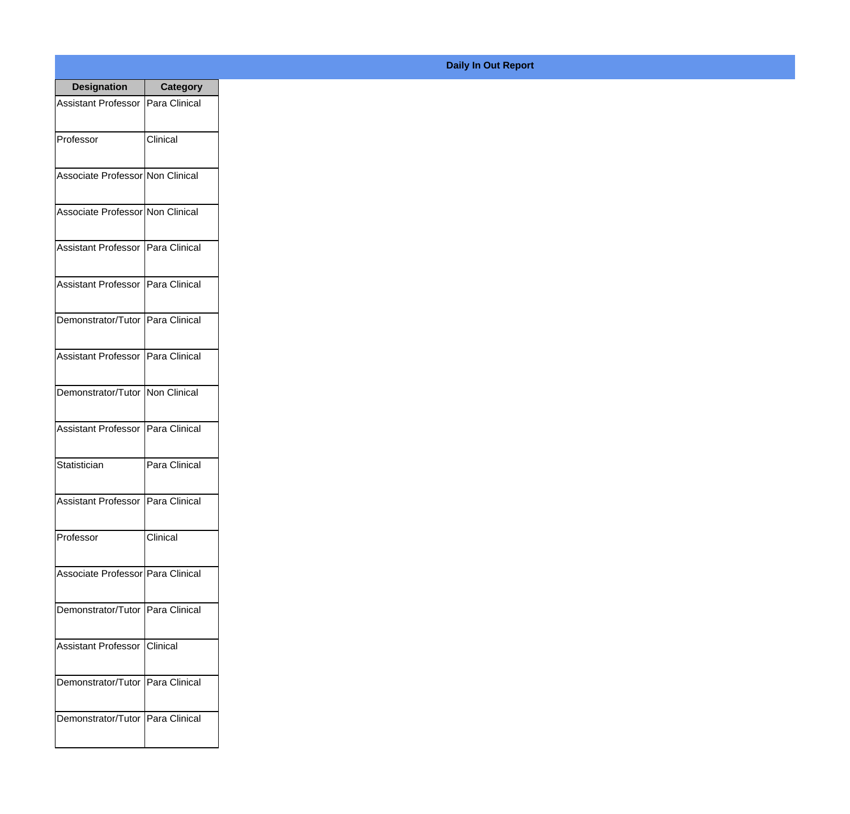| <b>Designation</b>                  | <b>Category</b> |
|-------------------------------------|-----------------|
| Assistant Professor   Para Clinical |                 |
| Professor                           | Clinical        |
| Associate Professor Non Clinical    |                 |
| Associate Professor Non Clinical    |                 |
| Assistant Professor   Para Clinical |                 |
| Assistant Professor   Para Clinical |                 |
| Demonstrator/Tutor   Para Clinical  |                 |
| Assistant Professor   Para Clinical |                 |
| Demonstrator/Tutor   Non Clinical   |                 |
| <b>Assistant Professor</b>          | Para Clinical   |
| Statistician                        | Para Clinical   |
| Assistant Professor   Para Clinical |                 |
| Professor                           | Clinical        |
| Associate Professor Para Clinical   |                 |
| Demonstrator/Tutor   Para Clinical  |                 |
| <b>Assistant Professor</b>          | Clinical        |
| Demonstrator/Tutor   Para Clinical  |                 |
| Demonstrator/Tutor   Para Clinical  |                 |

## **Daily In Out Report**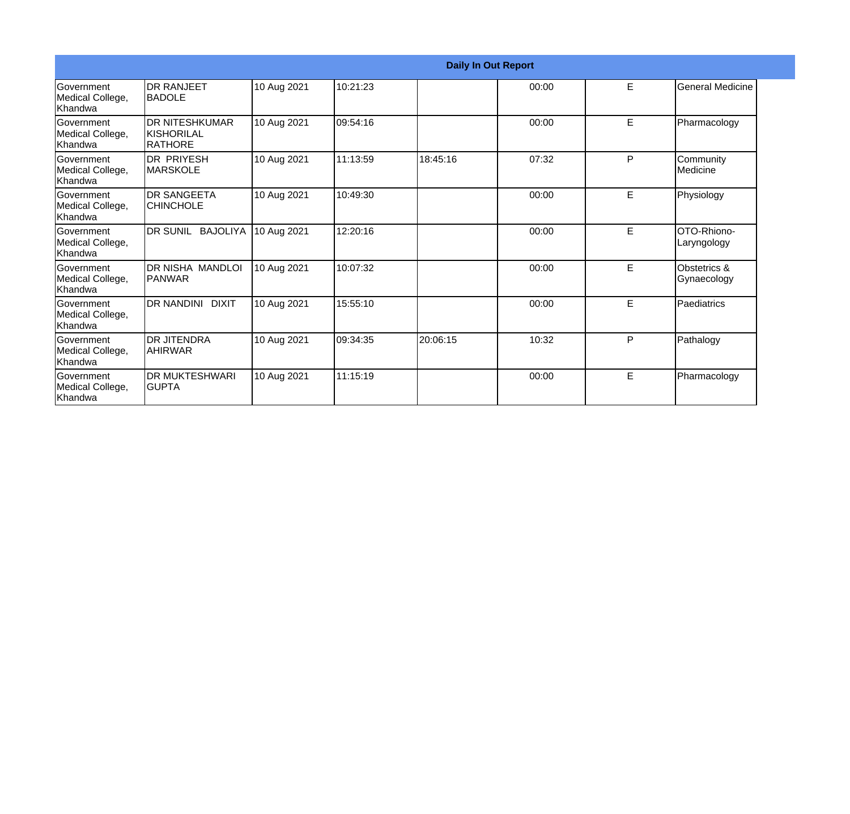|                                                   | <b>Daily In Out Report</b>                            |             |          |          |       |   |                             |  |
|---------------------------------------------------|-------------------------------------------------------|-------------|----------|----------|-------|---|-----------------------------|--|
| <b>Government</b><br>Medical College,<br>Khandwa  | <b>DR RANJEET</b><br><b>BADOLE</b>                    | 10 Aug 2021 | 10:21:23 |          | 00:00 | E | <b>General Medicine</b>     |  |
| Government<br>Medical College,<br>Khandwa         | <b>DR NITESHKUMAR</b><br><b>KISHORILAL</b><br>RATHORE | 10 Aug 2021 | 09:54:16 |          | 00:00 | E | Pharmacology                |  |
| <b>Government</b><br>Medical College,<br>Khandwa  | <b>DR PRIYESH</b><br><b>MARSKOLE</b>                  | 10 Aug 2021 | 11:13:59 | 18:45:16 | 07:32 | P | Community<br>Medicine       |  |
| Government<br>Medical College,<br>Khandwa         | <b>DR SANGEETA</b><br><b>CHINCHOLE</b>                | 10 Aug 2021 | 10:49:30 |          | 00:00 | E | Physiology                  |  |
| <b>Government</b><br>Medical College,<br>Khandwa  | DR SUNIL BAJOLIYA                                     | 10 Aug 2021 | 12:20:16 |          | 00:00 | E | OTO-Rhiono-<br>Laryngology  |  |
| Government<br>Medical College,<br>Khandwa         | DR NISHA MANDLOI<br>PANWAR                            | 10 Aug 2021 | 10:07:32 |          | 00:00 | E | Obstetrics &<br>Gynaecology |  |
| <b>IGovernment</b><br>Medical College,<br>Khandwa | DR NANDINI DIXIT                                      | 10 Aug 2021 | 15:55:10 |          | 00:00 | E | Paediatrics                 |  |
| Government<br>Medical College,<br>Khandwa         | <b>DR JITENDRA</b><br> AHIRWAR                        | 10 Aug 2021 | 09:34:35 | 20:06:15 | 10:32 | P | Pathalogy                   |  |
| Government<br>Medical College,<br>Khandwa         | <b>DR MUKTESHWARI</b><br>IGUPTA                       | 10 Aug 2021 | 11:15:19 |          | 00:00 | E | Pharmacology                |  |